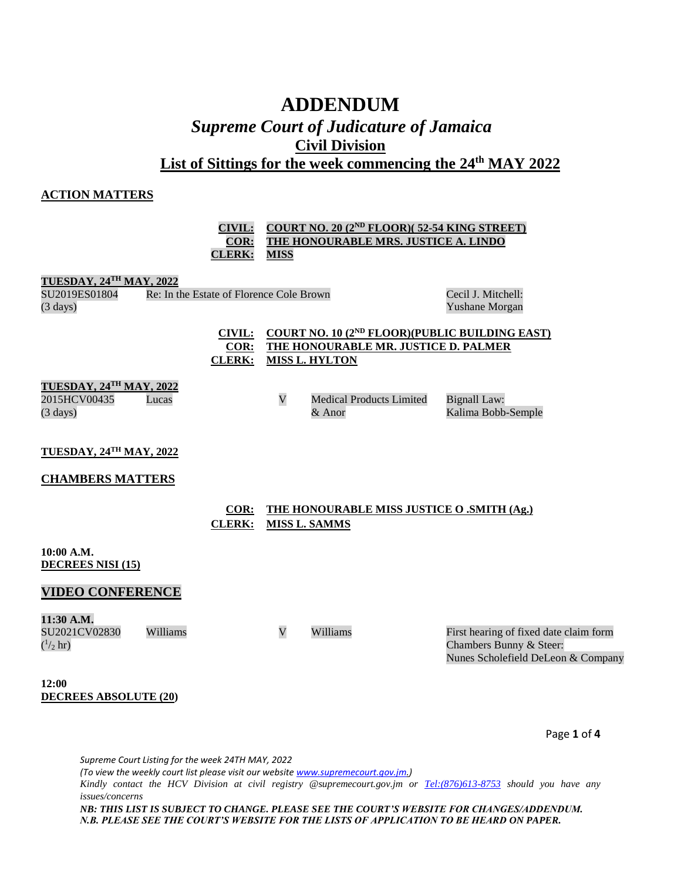# **ADDENDUM** *Supreme Court of Judicature of Jamaica* **Civil Division List of Sittings for the week commencing the 24th MAY 2022**

### **ACTION MATTERS**

### **CIVIL: COURT NO. 20 (2ND FLOOR)( 52-54 KING STREET) COR: THE HONOURABLE MRS. JUSTICE A. LINDO CLERK: MISS**

#### **TUESDAY, 24TH MAY, 2022**

| SU2019ES01804      | Re: In the Estate of Florence Cole Brown |
|--------------------|------------------------------------------|
| $(3 \text{ days})$ |                                          |

#### Cecil J. Mitchell: Yushane Morgan

# **CIVIL: COURT NO. 10 (2ND FLOOR)(PUBLIC BUILDING EAST) COR: THE HONOURABLE MR. JUSTICE D. PALMER CLERK: MISS L. HYLTON**

# **TUESDAY, 24TH MAY, 2022**

2015HCV00435 (3 days)

Lucas V Medical Products Limited & Anor Bignall Law: Kalima Bobb-Semple

**TUESDAY, 24TH MAY, 2022**

## **CHAMBERS MATTERS**

| COR: | THE HONOURABLE MISS JUSTICE O .SMITH (Ag.) |
|------|--------------------------------------------|
|      | CLERK: MISS L. SAMMS                       |

#### **10:00 A.M. DECREES NISI (15)**

# **VIDEO CONFERENCE**

**11:30 A.M.** SU2021CV02830  $(^{1}/_{2}$  hr)

Williams V Williams First hearing of fixed date claim form Chambers Bunny & Steer: Nunes Scholefield DeLeon & Company

**12:00 DECREES ABSOLUTE (20)**

Page **1** of **4**

*Supreme Court Listing for the week 24TH MAY, 2022 (To view the weekly court list please visit our websit[e www.supremecourt.gov.jm.\)](http://www.supremecourt.gov.jm/) Kindly contact the HCV Division at civil registry @supremecourt.gov.jm or [Tel:\(876\)613-8753](tel:(876)613-8753) should you have any issues/concerns NB: THIS LIST IS SUBJECT TO CHANGE. PLEASE SEE THE COURT'S WEBSITE FOR CHANGES/ADDENDUM. N.B. PLEASE SEE THE COURT'S WEBSITE FOR THE LISTS OF APPLICATION TO BE HEARD ON PAPER.*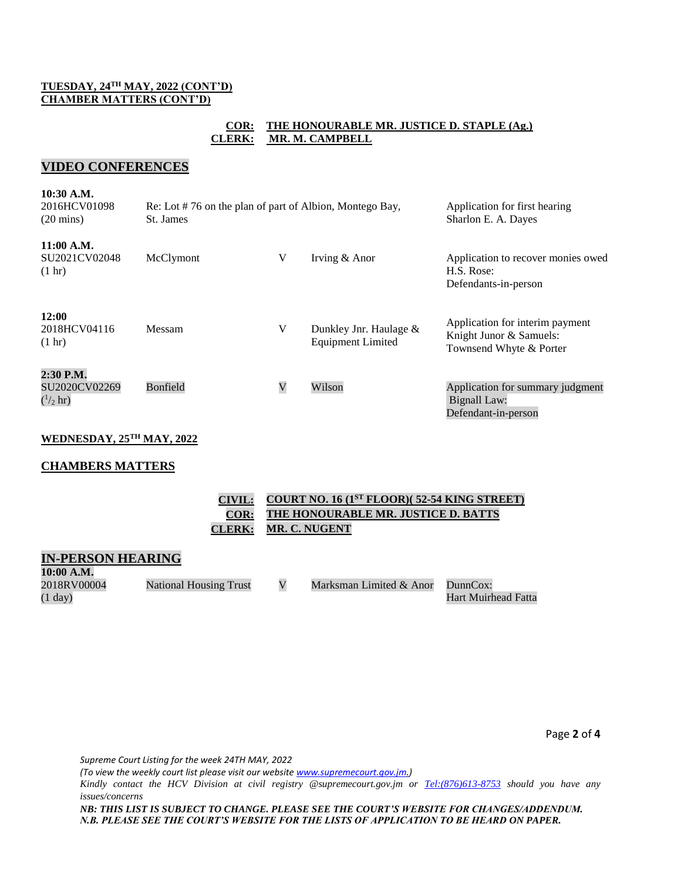### **TUESDAY, 24TH MAY, 2022 (CONT'D) CHAMBER MATTERS (CONT'D)**

## **COR: THE HONOURABLE MR. JUSTICE D. STAPLE (Ag.) CLERK: MR. M. CAMPBELL**

# **VIDEO CONFERENCES**

| 10:30 A.M.<br>2016HCV01098<br>$(20 \text{ mins})$ | Re: Lot #76 on the plan of part of Albion, Montego Bay,<br>St. James | Application for first hearing<br>Sharlon E. A. Dayes |                                                       |                                                                                       |
|---------------------------------------------------|----------------------------------------------------------------------|------------------------------------------------------|-------------------------------------------------------|---------------------------------------------------------------------------------------|
| 11:00 A.M.<br>SU2021CV02048<br>$(1 \text{ hr})$   | McClymont                                                            | V                                                    | Irving & Anor                                         | Application to recover monies owed<br>H.S. Rose:<br>Defendants-in-person              |
| 12:00<br>2018HCV04116<br>$(1 \text{ hr})$         | <b>Messam</b>                                                        | V                                                    | Dunkley Jnr. Haulage $\&$<br><b>Equipment Limited</b> | Application for interim payment<br>Knight Junor & Samuels:<br>Townsend Whyte & Porter |
| 2:30 P.M.<br>SU2020CV02269<br>$(^{1}/_{2}$ hr)    | Bonfield                                                             | V                                                    | Wilson                                                | Application for summary judgment<br>Bignall Law:<br>Defendant-in-person               |

# **WEDNESDAY, 25TH MAY, 2022**

## **CHAMBERS MATTERS**

| CIVIL: COURT NO. 16 (1 <sup>ST</sup> FLOOR)(52-54 KING STREET) |
|----------------------------------------------------------------|
| <b>COR: THE HONOURABLE MR. JUSTICE D. BATTS</b>                |
| CLERK: MR. C. NUGENT                                           |

#### **IN-PERSON HEARING 10:00 A.M.**

| TAMA UTAMA        |                               |                         |                     |
|-------------------|-------------------------------|-------------------------|---------------------|
| 2018RV00004       | <b>National Housing Trust</b> | Marksman Limited & Anor | DunnCox:            |
| $(1 \text{ day})$ |                               |                         | Hart Muirhead Fatta |

Page **2** of **4**

*Supreme Court Listing for the week 24TH MAY, 2022* 

*(To view the weekly court list please visit our websit[e www.supremecourt.gov.jm.\)](http://www.supremecourt.gov.jm/)*

*Kindly contact the HCV Division at civil registry @supremecourt.gov.jm or [Tel:\(876\)613-8753](tel:(876)613-8753) should you have any issues/concerns*

*NB: THIS LIST IS SUBJECT TO CHANGE. PLEASE SEE THE COURT'S WEBSITE FOR CHANGES/ADDENDUM. N.B. PLEASE SEE THE COURT'S WEBSITE FOR THE LISTS OF APPLICATION TO BE HEARD ON PAPER.*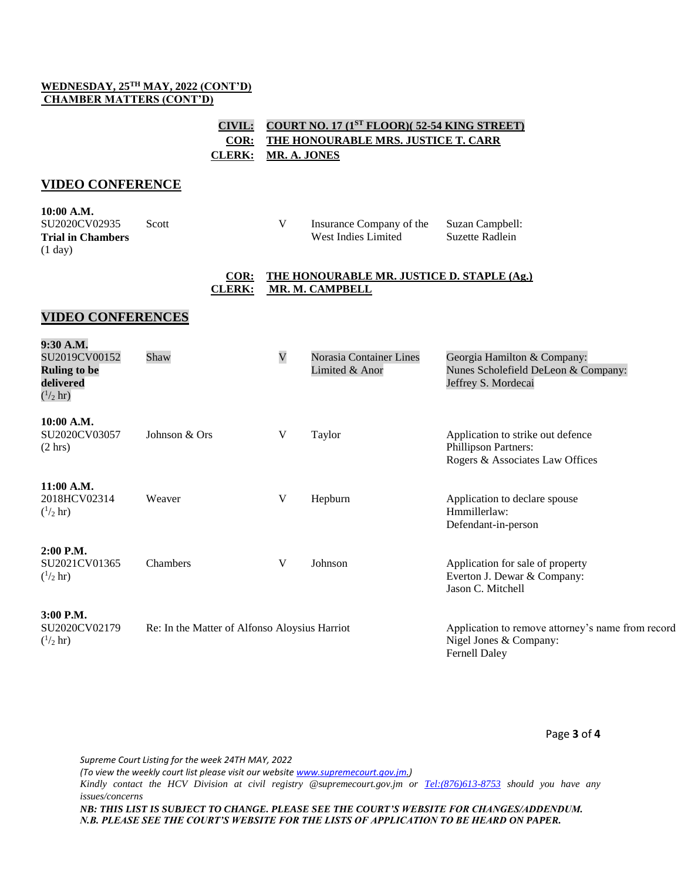### **WEDNESDAY, 25TH MAY, 2022 (CONT'D) CHAMBER MATTERS (CONT'D)**

# **CIVIL: COURT NO. 17 (1 ST FLOOR)( 52-54 KING STREET) COR: THE HONOURABLE MRS. JUSTICE T. CARR CLERK: MR. A. JONES**

# **VIDEO CONFERENCE**

| 10:00 A.M.               |       |                          |                 |
|--------------------------|-------|--------------------------|-----------------|
| SU2020CV02935            | Scott | Insurance Company of the | Suzan Campbell: |
| <b>Trial in Chambers</b> |       | West Indies Limited      | Suzette Radlein |
| $(1 \text{ day})$        |       |                          |                 |

### **COR: THE HONOURABLE MR. JUSTICE D. STAPLE (Ag.) CLERK: MR. M. CAMPBELL**

# **VIDEO CONFERENCES**

| 9:30 A.M.<br>SU2019CV00152<br><b>Ruling to be</b><br>delivered<br>$(^{1/2}$ hr) | Shaw                                          | $\mathbf V$ | Norasia Container Lines<br>Limited & Anor | Georgia Hamilton & Company:<br>Nunes Scholefield DeLeon & Company:<br>Jeffrey S. Mordecai           |
|---------------------------------------------------------------------------------|-----------------------------------------------|-------------|-------------------------------------------|-----------------------------------------------------------------------------------------------------|
| 10:00 A.M.<br>SU2020CV03057<br>$(2 \text{ hrs})$                                | Johnson & Ors                                 | V           | Taylor                                    | Application to strike out defence<br><b>Phillipson Partners:</b><br>Rogers & Associates Law Offices |
| $11:00$ A.M.<br>2018HCV02314<br>$\binom{1}{2}$ hr)                              | Weaver                                        | V           | Hepburn                                   | Application to declare spouse<br>Hmmillerlaw:<br>Defendant-in-person                                |
| $2:00$ P.M.<br>SU2021CV01365<br>$\binom{1}{2}$ hr)                              | Chambers                                      | V           | Johnson                                   | Application for sale of property<br>Everton J. Dewar & Company:<br>Jason C. Mitchell                |
| $3:00$ P.M.<br>SU2020CV02179<br>$\binom{1}{2}$ hr)                              | Re: In the Matter of Alfonso Aloysius Harriot |             |                                           | Application to remove attorney's name from record<br>Nigel Jones & Company:<br><b>Fernell Daley</b> |

Page **3** of **4**

*Supreme Court Listing for the week 24TH MAY, 2022 (To view the weekly court list please visit our websit[e www.supremecourt.gov.jm.\)](http://www.supremecourt.gov.jm/) Kindly contact the HCV Division at civil registry @supremecourt.gov.jm or [Tel:\(876\)613-8753](tel:(876)613-8753) should you have any issues/concerns NB: THIS LIST IS SUBJECT TO CHANGE. PLEASE SEE THE COURT'S WEBSITE FOR CHANGES/ADDENDUM. N.B. PLEASE SEE THE COURT'S WEBSITE FOR THE LISTS OF APPLICATION TO BE HEARD ON PAPER.*